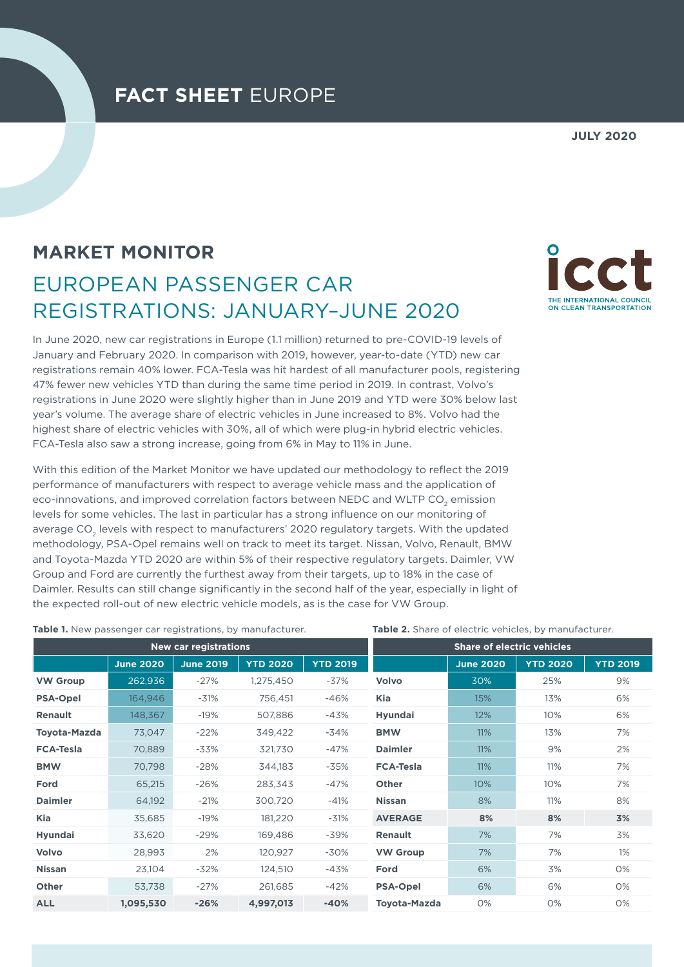## **FACT SHEET** EUROPE

#### **JULY 2020**

# **MARKET MONITOR** EUROPEAN PASSENGER CAR REGISTRATIONS: JANUARY–JUNE 2020

In June 2020, new car registrations in Europe (1.1 million) returned to pre-COVID-19 levels of January and February 2020. In comparison with 2019, however, year-to-date (YTD) new car registrations remain 40% lower. FCA-Tesla was hit hardest of all manufacturer pools, registering 47% fewer new vehicles YTD than during the same time period in 2019. In contrast, Volvo's registrations in June 2020 were slightly higher than in June 2019 and YTD were 30% below last year's volume. The average share of electric vehicles in June increased to 8%. Volvo had the highest share of electric vehicles with 30%, all of which were plug-in hybrid electric vehicles. FCA-Tesla also saw a strong increase, going from 6% in May to 11% in June.

With this edition of the Market Monitor we have updated our methodology to reflect the 2019 performance of manufacturers with respect to average vehicle mass and the application of eco-innovations, and improved correlation factors between NEDC and WLTP CO<sub>2</sub> emission levels for some vehicles. The last in particular has a strong influence on our monitoring of average CO<sub>2</sub> levels with respect to manufacturers' 2020 regulatory targets. With the updated methodology, PSA-Opel remains well on track to meet its target. Nissan, Volvo, Renault, BMW and Toyota-Mazda YTD 2020 are within 5% of their respective regulatory targets. Daimler, VW Group and Ford are currently the furthest away from their targets, up to 18% in the case of Daimler. Results can still change significantly in the second half of the year, especially in light of the expected roll-out of new electric vehicle models, as is the case for VW Group.

| <b>Table 1.</b> New passenger car registrations, by manufacturer. |                  |                       |                 | Table 2. Share of electric vehicles, by manufacturer. |                     |                                   |                 |                 |
|-------------------------------------------------------------------|------------------|-----------------------|-----------------|-------------------------------------------------------|---------------------|-----------------------------------|-----------------|-----------------|
|                                                                   |                  | New car registrations |                 |                                                       |                     | <b>Share of electric vehicles</b> |                 |                 |
|                                                                   | <b>June 2020</b> | <b>June 2019</b>      | <b>YTD 2020</b> | <b>YTD 2019</b>                                       |                     | <b>June 2020</b>                  | <b>YTD 2020</b> | <b>YTD 2019</b> |
| <b>VW Group</b>                                                   | 262,936          | $-27%$                | 1,275,450       | -37%                                                  | Volvo               | 30%                               | 25%             | 9%              |
| <b>PSA-Opel</b>                                                   | 164,946          | $-31%$                | 756,451         | $-46%$                                                | Kia                 | 15%                               | 13%             | 6%              |
| <b>Renault</b>                                                    | 148,367          | $-19%$                | 507,886         | $-43%$                                                | Hyundai             | 12%                               | 10%             | 6%              |
| <b>Toyota-Mazda</b>                                               | 73,047           | $-22%$                | 349,422         | $-34%$                                                | <b>BMW</b>          | 11%                               | 13%             | 7%              |
| <b>FCA-Tesla</b>                                                  | 70,889           | -33%                  | 321,730         | $-47%$                                                | <b>Daimler</b>      | 11%                               | 9%              | 2%              |
| <b>BMW</b>                                                        | 70,798           | $-28%$                | 344,183         | $-35%$                                                | <b>FCA-Tesla</b>    | 11%                               | 11%             | 7%              |
| Ford                                                              | 65,215           | $-26%$                | 283,343         | $-47%$                                                | Other               | 10%                               | 10%             | 7%              |
| <b>Daimler</b>                                                    | 64,192           | $-21%$                | 300,720         | $-41%$                                                | <b>Nissan</b>       | 8%                                | 11%             | 8%              |
| <b>Kia</b>                                                        | 35,685           | $-19%$                | 181,220         | $-31%$                                                | <b>AVERAGE</b>      | 8%                                | 8%              | 3%              |
| <b>Hyundai</b>                                                    | 33,620           | $-29%$                | 169,486         | -39%                                                  | Renault             | 7%                                | 7%              | 3%              |
| Volvo                                                             | 28,993           | 2%                    | 120,927         | -30%                                                  | <b>VW Group</b>     | 7%                                | 7%              | $1\%$           |
| <b>Nissan</b>                                                     | 23,104           | $-32%$                | 124,510         | -43%                                                  | Ford                | 6%                                | 3%              | 0%              |
| Other                                                             | 53,738           | $-27%$                | 261,685         | $-42%$                                                | <b>PSA-Opel</b>     | 6%                                | 6%              | 0%              |
| <b>ALL</b>                                                        | 1,095,530        | $-26%$                | 4,997,013       | $-40%$                                                | <b>Toyota-Mazda</b> | 0%                                | 0%              | 0%              |

#### **Table 2.** Share of electric vehicles, by manufacturer.

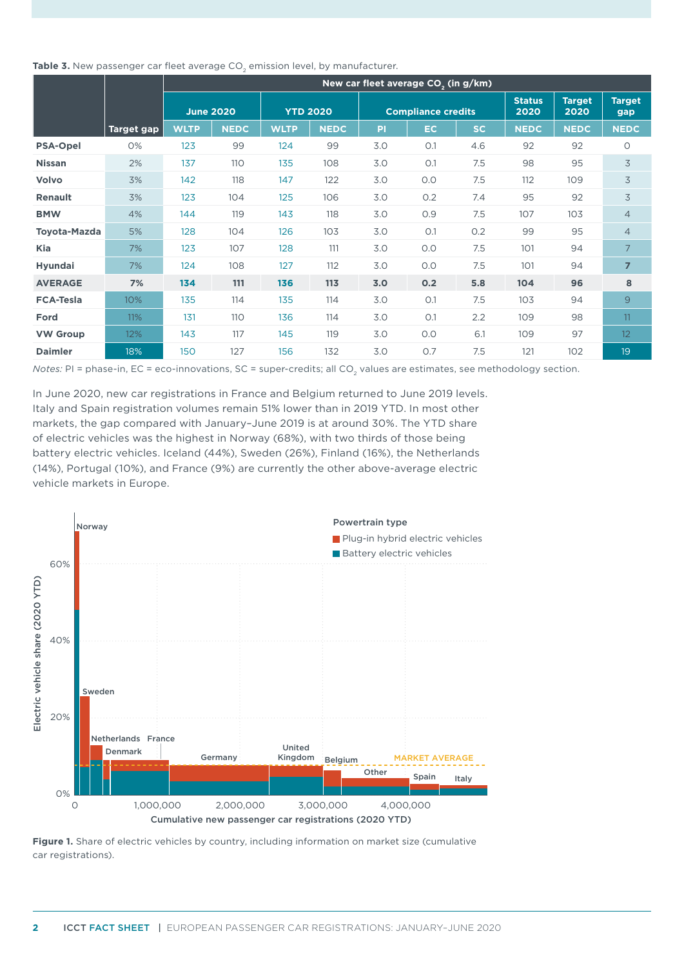Table 3. New passenger car fleet average CO<sub>2</sub> emission level, by manufacturer.

|                     |                   | New car fleet average CO <sub>2</sub> (in g/km) |             |                 |             |                           |     |     |                       |                       |                      |
|---------------------|-------------------|-------------------------------------------------|-------------|-----------------|-------------|---------------------------|-----|-----|-----------------------|-----------------------|----------------------|
|                     |                   | <b>June 2020</b>                                |             | <b>YTD 2020</b> |             | <b>Compliance credits</b> |     |     | <b>Status</b><br>2020 | <b>Target</b><br>2020 | <b>Target</b><br>gap |
|                     | <b>Target gap</b> | <b>WLTP</b>                                     | <b>NEDC</b> | <b>WLTP</b>     | <b>NEDC</b> | <b>PI</b>                 | EC. | SC. | <b>NEDC</b>           | <b>NEDC</b>           | <b>NEDC</b>          |
| <b>PSA-Opel</b>     | 0%                | 123                                             | 99          | 124             | 99          | 3.0                       | O.1 | 4.6 | 92                    | 92                    | $\circ$              |
| <b>Nissan</b>       | 2%                | 137                                             | 110         | 135             | 108         | 3.0                       | O.1 | 7.5 | 98                    | 95                    | 3                    |
| Volvo               | 3%                | 142                                             | 118         | 147             | 122         | 3.0                       | 0.0 | 7.5 | 112                   | 109                   | 3                    |
| <b>Renault</b>      | 3%                | 123                                             | 104         | 125             | 106         | 3.0                       | 0.2 | 7.4 | 95                    | 92                    | 3                    |
| <b>BMW</b>          | 4%                | 144                                             | 119         | 143             | 118         | 3.0                       | 0.9 | 7.5 | 107                   | 103                   | $\overline{4}$       |
| <b>Toyota-Mazda</b> | 5%                | 128                                             | 104         | 126             | 103         | 3.0                       | O.1 | 0.2 | 99                    | 95                    | $\overline{4}$       |
| <b>Kia</b>          | 7%                | 123                                             | 107         | 128             | 111         | 3.0                       | 0.0 | 7.5 | 101                   | 94                    | $\overline{7}$       |
| <b>Hyundai</b>      | 7%                | 124                                             | 108         | 127             | 112         | 3.0                       | O.O | 7.5 | 101                   | 94                    | $\overline{7}$       |
| <b>AVERAGE</b>      | 7%                | 134                                             | 111         | 136             | 113         | 3.0                       | 0.2 | 5.8 | 104                   | 96                    | 8                    |
| <b>FCA-Tesla</b>    | 10%               | 135                                             | 114         | 135             | 114         | 3.0                       | O.1 | 7.5 | 103                   | 94                    | 9                    |
| Ford                | 11%               | 131                                             | 110         | 136             | 114         | 3.0                       | O.1 | 2.2 | 109                   | 98                    | 11                   |
| <b>VW Group</b>     | 12%               | 143                                             | 117         | 145             | 119         | 3.0                       | 0.0 | 6.1 | 109                   | 97                    | 12                   |
| <b>Daimler</b>      | 18%               | 150                                             | 127         | 156             | 132         | 3.0                       | 0.7 | 7.5 | 121                   | 102                   | 19                   |

*Notes: PI = phase-in, EC = eco-innovations, SC = super-credits; all CO<sub>2</sub> values are estimates, see methodology section.* 

In June 2020, new car registrations in France and Belgium returned to June 2019 levels. Italy and Spain registration volumes remain 51% lower than in 2019 YTD. In most other markets, the gap compared with January–June 2019 is at around 30%. The YTD share of electric vehicles was the highest in Norway (68%), with two thirds of those being battery electric vehicles. Iceland (44%), Sweden (26%), Finland (16%), the Netherlands (14%), Portugal (10%), and France (9%) are currently the other above-average electric vehicle markets in Europe.



**Figure 1.** Share of electric vehicles by country, including information on market size (cumulative car registrations).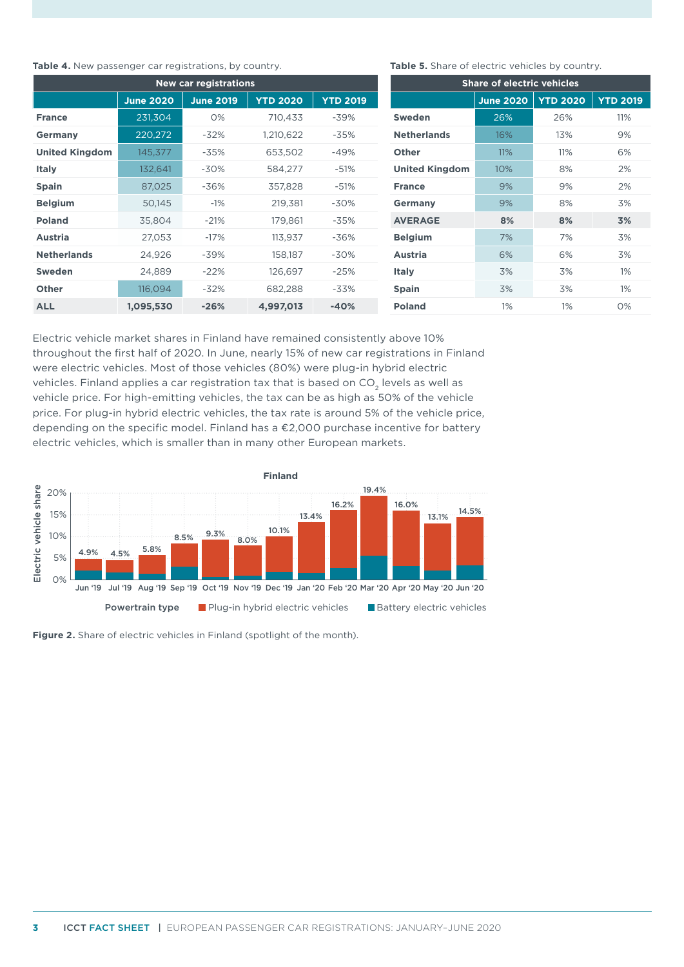#### **Table 4.** New passenger car registrations, by country.

| <b>New car registrations</b> |                  |                  |                 |                 |  |  |  |
|------------------------------|------------------|------------------|-----------------|-----------------|--|--|--|
|                              | <b>June 2020</b> | <b>June 2019</b> | <b>YTD 2020</b> | <b>YTD 2019</b> |  |  |  |
| <b>France</b>                | 231,304          | O%               | 710,433         | -39%            |  |  |  |
| <b>Germany</b>               | 220,272          | $-32%$           | 1,210,622       | $-35%$          |  |  |  |
| <b>United Kingdom</b>        | 145,377          | $-35%$           | 653,502         | -49%            |  |  |  |
| <b>Italy</b>                 | 132,641          | $-30%$           | 584,277         | $-51%$          |  |  |  |
| <b>Spain</b>                 | 87,025           | $-36%$           | 357,828         | $-51%$          |  |  |  |
| <b>Belgium</b>               | 50,145           | $-1%$            | 219,381         | -30%            |  |  |  |
| <b>Poland</b>                | 35,804           | $-21%$           | 179,861         | $-35%$          |  |  |  |
| <b>Austria</b>               | 27,053           | $-17%$           | 113,937         | $-36%$          |  |  |  |
| <b>Netherlands</b>           | 24,926           | -39%             | 158,187         | -30%            |  |  |  |
| <b>Sweden</b>                | 24,889           | $-22%$           | 126,697         | $-25%$          |  |  |  |
| <b>Other</b>                 | 116,094          | $-32%$           | 682,288         | $-33%$          |  |  |  |
| ALL                          | 1,095,530        | $-26%$           | 4,997,013       | $-40%$          |  |  |  |

#### **Table 5.** Share of electric vehicles by country.

| <b>Share of electric vehicles</b> |                  |                 |                 |  |  |  |  |
|-----------------------------------|------------------|-----------------|-----------------|--|--|--|--|
|                                   | <b>June 2020</b> | <b>YTD 2020</b> | <b>YTD 2019</b> |  |  |  |  |
| <b>Sweden</b>                     | 26%              | 26%             | 11%             |  |  |  |  |
| <b>Netherlands</b>                | 16%              | 13%             | 9%              |  |  |  |  |
| <b>Other</b>                      | 11%              | 11%             | 6%              |  |  |  |  |
| <b>United Kingdom</b>             | 10%              | 8%              | 2%              |  |  |  |  |
| <b>France</b>                     | 9%               | 9%              | 2%              |  |  |  |  |
| Germany                           | 9%               | 8%              | 3%              |  |  |  |  |
| <b>AVERAGE</b>                    | 8%               | 8%              | 3%              |  |  |  |  |
| <b>Belgium</b>                    | 7%               | 7%              | 3%              |  |  |  |  |
| <b>Austria</b>                    | 6%               | 6%              | 3%              |  |  |  |  |
| <b>Italy</b>                      | 3%               | 3%              | 1%              |  |  |  |  |
| <b>Spain</b>                      | 3%               | 3%              | 1%              |  |  |  |  |
| <b>Poland</b>                     | 1%               | 1%              | $O\%$           |  |  |  |  |

Electric vehicle market shares in Finland have remained consistently above 10% throughout the first half of 2020. In June, nearly 15% of new car registrations in Finland were electric vehicles. Most of those vehicles (80%) were plug-in hybrid electric vehicles. Finland applies a car registration tax that is based on  $CO<sub>2</sub>$  levels as well as vehicle price. For high-emitting vehicles, the tax can be as high as 50% of the vehicle price. For plug-in hybrid electric vehicles, the tax rate is around 5% of the vehicle price, depending on the specific model. Finland has a €2,000 purchase incentive for battery electric vehicles, which is smaller than in many other European markets.